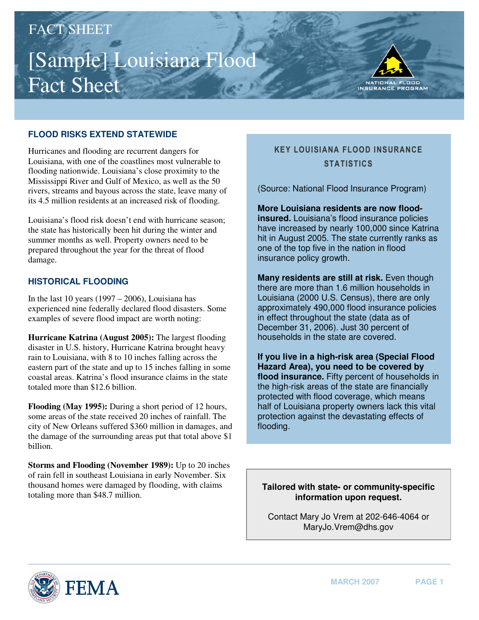# [Sample] Louisiana Flood Fact Sheet FACT SHEET



## **FLOOD RISKS EXTEND STATEWIDE**

Hurricanes and flooding are recurrent dangers for Louisiana, with one of the coastlines most vulnerable to flooding nationwide. Louisiana's close proximity to the Mississippi River and Gulf of Mexico, as well as the 50 rivers, streams and bayous across the state, leave many of its 4.5 million residents at an increased risk of flooding.

Louisiana's flood risk doesn't end with hurricane season; the state has historically been hit during the winter and summer months as well. Property owners need to be prepared throughout the year for the threat of flood damage.

#### **HISTORICAL FLOODING**

In the last 10 years  $(1997 – 2006)$ , Louisiana has experienced nine federally declared flood disasters. Some examples of severe flood impact are worth noting:

**Hurricane Katrina (August 2005):** The largest flooding disaster in U.S. history, Hurricane Katrina brought heavy rain to Louisiana, with 8 to 10 inches falling across the eastern part of the state and up to 15 inches falling in some coastal areas. Katrina's flood insurance claims in the state totaled more than \$12.6 billion.

**Flooding (May 1995):** During a short period of 12 hours, some areas of the state received 20 inches of rainfall. The city of New Orleans suffered \$360 million in damages, and the damage of the surrounding areas put that total above \$1 billion.

**Storms and Flooding (November 1989):** Up to 20 inches of rain fell in southeast Louisiana in early November. Six thousand homes were damaged by flooding, with claims totaling more than \$48.7 million.

# KEY LOUISIANA FLOOD INSURANCE **STATISTICS**

(Source: National Flood Insurance Program)

**More Louisiana residents are now floodinsured.** Louisiana's flood insurance policies have increased by nearly 100,000 since Katrina hit in August 2005. The state currently ranks as one of the top five in the nation in flood insurance policy growth.

**Many residents are still at risk.** Even though there are more than 1.6 million households in Louisiana (2000 U.S. Census), there are only approximately 490,000 flood insurance policies in effect throughout the state (data as of December 31, 2006). Just 30 percent of households in the state are covered.

**If you live in a high-risk area (Special Flood Hazard Area), you need to be covered by flood insurance.** Fifty percent of households in the high-risk areas of the state are financially protected with flood coverage, which means half of Louisiana property owners lack this vital protection against the devastating effects of flooding.

**Tailored with state- or community-specific information upon request.** 

Contact Mary Jo Vrem at 202-646-4064 or [MaryJo.Vrem@dhs.gov](mailto:MaryJo.Vrem@dhs.gov)